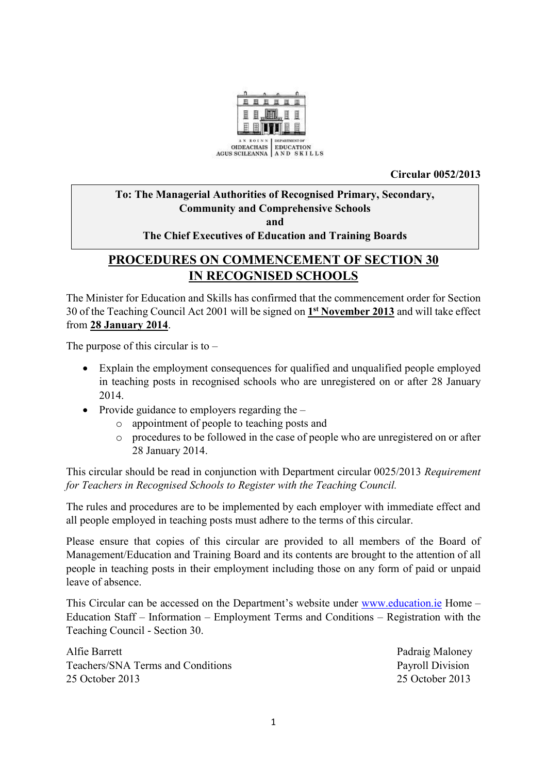

**Circular 0052/2013**

### **To: The Managerial Authorities of Recognised Primary, Secondary, Community and Comprehensive Schools and The Chief Executives of Education and Training Boards**

# **PROCEDURES ON COMMENCEMENT OF SECTION 30 IN RECOGNISED SCHOOLS**

The Minister for Education and Skills has confirmed that the commencement order for Section 30 of the Teaching Council Act 2001 will be signed on **1 st November 2013** and will take effect from **28 January 2014**.

The purpose of this circular is to  $-$ 

- Explain the employment consequences for qualified and unqualified people employed in teaching posts in recognised schools who are unregistered on or after 28 January 2014.
- Provide guidance to employers regarding the
	- o appointment of people to teaching posts and
	- o procedures to be followed in the case of people who are unregistered on or after 28 January 2014.

This circular should be read in conjunction with Department circular 0025/2013 *Requirement for Teachers in Recognised Schools to Register with the Teaching Council.*

The rules and procedures are to be implemented by each employer with immediate effect and all people employed in teaching posts must adhere to the terms of this circular.

Please ensure that copies of this circular are provided to all members of the Board of Management/Education and Training Board and its contents are brought to the attention of all people in teaching posts in their employment including those on any form of paid or unpaid leave of absence.

This Circular can be accessed on the Department's website under [www.education.ie](http://www.education.ie/) Home – Education Staff – Information – Employment Terms and Conditions – Registration with the Teaching Council - Section 30.

Alfie Barrett Padraig Maloney Teachers/SNA Terms and Conditions Payroll Division 25 October 2013 25 October 2013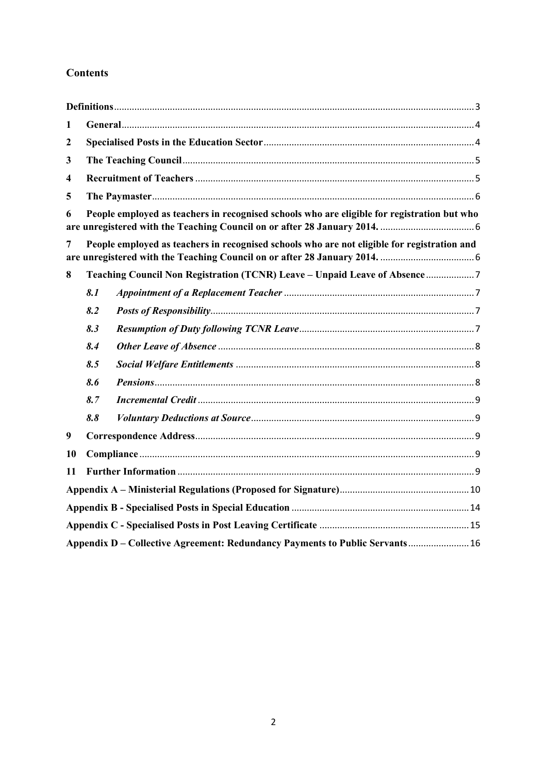## **Contents**

| 1                                                                                                |                                                                                             |                                                                            |  |  |
|--------------------------------------------------------------------------------------------------|---------------------------------------------------------------------------------------------|----------------------------------------------------------------------------|--|--|
| $\boldsymbol{2}$                                                                                 |                                                                                             |                                                                            |  |  |
| 3                                                                                                |                                                                                             |                                                                            |  |  |
| $\overline{\mathbf{4}}$                                                                          |                                                                                             |                                                                            |  |  |
| 5                                                                                                |                                                                                             |                                                                            |  |  |
| People employed as teachers in recognised schools who are eligible for registration but who<br>6 |                                                                                             |                                                                            |  |  |
| 7                                                                                                | People employed as teachers in recognised schools who are not eligible for registration and |                                                                            |  |  |
| 8                                                                                                |                                                                                             | Teaching Council Non Registration (TCNR) Leave - Unpaid Leave of Absence 7 |  |  |
|                                                                                                  | 8.1                                                                                         |                                                                            |  |  |
|                                                                                                  | 8.2                                                                                         |                                                                            |  |  |
|                                                                                                  | 8.3                                                                                         |                                                                            |  |  |
|                                                                                                  | 8.4                                                                                         |                                                                            |  |  |
|                                                                                                  | 8.5                                                                                         |                                                                            |  |  |
|                                                                                                  | 8.6                                                                                         |                                                                            |  |  |
|                                                                                                  | 8.7                                                                                         |                                                                            |  |  |
|                                                                                                  | 8.8                                                                                         |                                                                            |  |  |
| $\boldsymbol{9}$                                                                                 |                                                                                             |                                                                            |  |  |
| 10                                                                                               |                                                                                             |                                                                            |  |  |
| 11                                                                                               |                                                                                             |                                                                            |  |  |
|                                                                                                  |                                                                                             |                                                                            |  |  |
|                                                                                                  |                                                                                             |                                                                            |  |  |
|                                                                                                  |                                                                                             |                                                                            |  |  |
| Appendix D – Collective Agreement: Redundancy Payments to Public Servants 16                     |                                                                                             |                                                                            |  |  |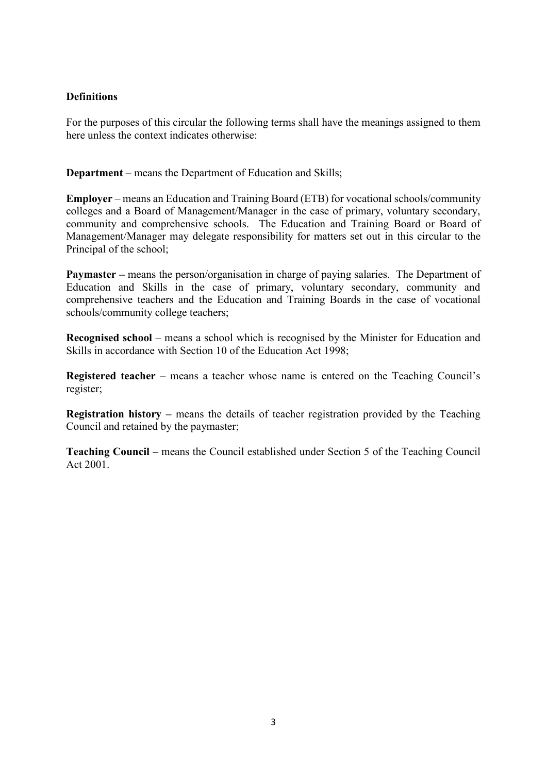#### <span id="page-2-0"></span>**Definitions**

For the purposes of this circular the following terms shall have the meanings assigned to them here unless the context indicates otherwise:

**Department** – means the Department of Education and Skills;

**Employer** – means an Education and Training Board (ETB) for vocational schools/community colleges and a Board of Management/Manager in the case of primary, voluntary secondary, community and comprehensive schools. The Education and Training Board or Board of Management/Manager may delegate responsibility for matters set out in this circular to the Principal of the school;

**Paymaster** – means the person/organisation in charge of paying salaries. The Department of Education and Skills in the case of primary, voluntary secondary, community and comprehensive teachers and the Education and Training Boards in the case of vocational schools/community college teachers;

**Recognised school** – means a school which is recognised by the Minister for Education and Skills in accordance with Section 10 of the Education Act 1998;

**Registered teacher** – means a teacher whose name is entered on the Teaching Council's register;

**Registration history –** means the details of teacher registration provided by the Teaching Council and retained by the paymaster;

**Teaching Council –** means the Council established under Section 5 of the Teaching Council Act 2001.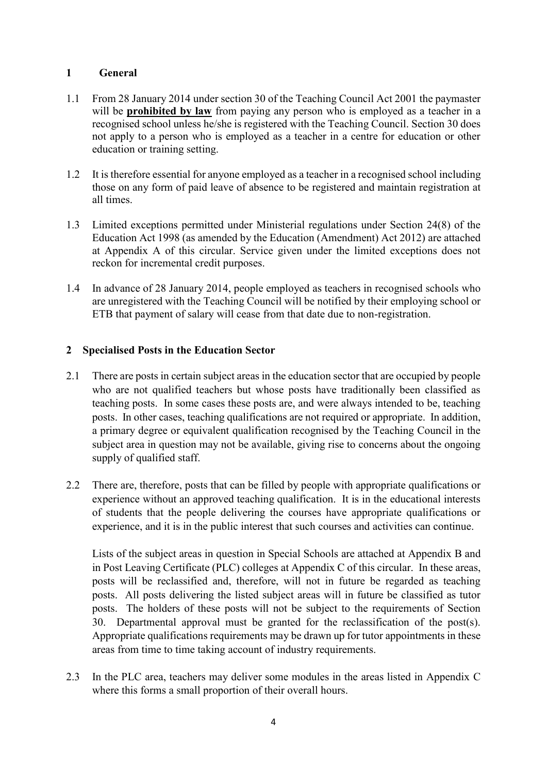#### <span id="page-3-0"></span>**1 General**

- 1.1 From 28 January 2014 under section 30 of the Teaching Council Act 2001 the paymaster will be **prohibited by law** from paying any person who is employed as a teacher in a recognised school unless he/she is registered with the Teaching Council. Section 30 does not apply to a person who is employed as a teacher in a centre for education or other education or training setting.
- 1.2 It is therefore essential for anyone employed as a teacher in a recognised school including those on any form of paid leave of absence to be registered and maintain registration at all times.
- 1.3 Limited exceptions permitted under Ministerial regulations under Section 24(8) of the Education Act 1998 (as amended by the Education (Amendment) Act 2012) are attached at Appendix A of this circular. Service given under the limited exceptions does not reckon for incremental credit purposes.
- 1.4 In advance of 28 January 2014, people employed as teachers in recognised schools who are unregistered with the Teaching Council will be notified by their employing school or ETB that payment of salary will cease from that date due to non-registration.

#### <span id="page-3-1"></span>**2 Specialised Posts in the Education Sector**

- 2.1 There are posts in certain subject areas in the education sector that are occupied by people who are not qualified teachers but whose posts have traditionally been classified as teaching posts. In some cases these posts are, and were always intended to be, teaching posts. In other cases, teaching qualifications are not required or appropriate. In addition, a primary degree or equivalent qualification recognised by the Teaching Council in the subject area in question may not be available, giving rise to concerns about the ongoing supply of qualified staff.
- 2.2 There are, therefore, posts that can be filled by people with appropriate qualifications or experience without an approved teaching qualification. It is in the educational interests of students that the people delivering the courses have appropriate qualifications or experience, and it is in the public interest that such courses and activities can continue.

Lists of the subject areas in question in Special Schools are attached at Appendix B and in Post Leaving Certificate (PLC) colleges at Appendix C of this circular. In these areas, posts will be reclassified and, therefore, will not in future be regarded as teaching posts. All posts delivering the listed subject areas will in future be classified as tutor posts. The holders of these posts will not be subject to the requirements of Section 30. Departmental approval must be granted for the reclassification of the post(s). Appropriate qualifications requirements may be drawn up for tutor appointments in these areas from time to time taking account of industry requirements.

2.3 In the PLC area, teachers may deliver some modules in the areas listed in Appendix C where this forms a small proportion of their overall hours.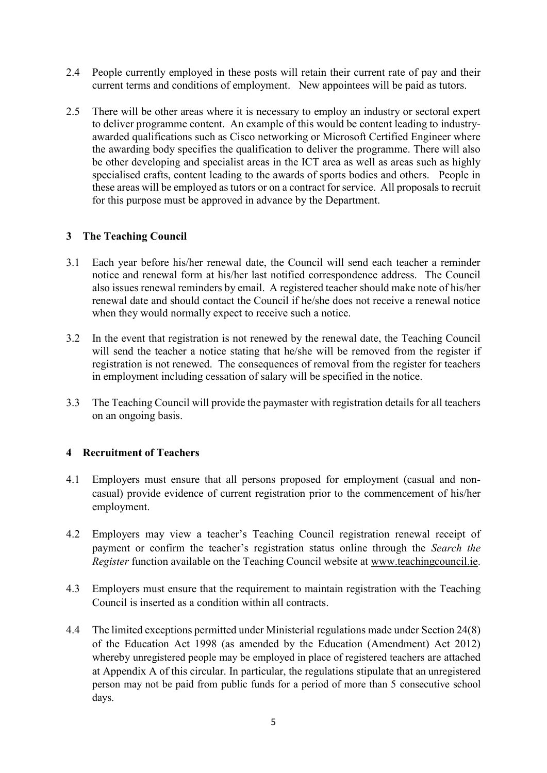- 2.4 People currently employed in these posts will retain their current rate of pay and their current terms and conditions of employment. New appointees will be paid as tutors.
- 2.5 There will be other areas where it is necessary to employ an industry or sectoral expert to deliver programme content. An example of this would be content leading to industryawarded qualifications such as Cisco networking or Microsoft Certified Engineer where the awarding body specifies the qualification to deliver the programme. There will also be other developing and specialist areas in the ICT area as well as areas such as highly specialised crafts, content leading to the awards of sports bodies and others. People in these areas will be employed as tutors or on a contract for service. All proposals to recruit for this purpose must be approved in advance by the Department.

#### <span id="page-4-0"></span>**3 The Teaching Council**

- 3.1 Each year before his/her renewal date, the Council will send each teacher a reminder notice and renewal form at his/her last notified correspondence address. The Council also issues renewal reminders by email. A registered teacher should make note of his/her renewal date and should contact the Council if he/she does not receive a renewal notice when they would normally expect to receive such a notice.
- 3.2 In the event that registration is not renewed by the renewal date, the Teaching Council will send the teacher a notice stating that he/she will be removed from the register if registration is not renewed. The consequences of removal from the register for teachers in employment including cessation of salary will be specified in the notice.
- 3.3 The Teaching Council will provide the paymaster with registration details for all teachers on an ongoing basis.

#### <span id="page-4-1"></span>**4 Recruitment of Teachers**

- 4.1 Employers must ensure that all persons proposed for employment (casual and noncasual) provide evidence of current registration prior to the commencement of his/her employment.
- 4.2 Employers may view a teacher's Teaching Council registration renewal receipt of payment or confirm the teacher's registration status online through the *Search the Register* function available on the Teaching Council website at [www.teachingcouncil.ie.](http://www.teachingcouncil.ie/)
- 4.3 Employers must ensure that the requirement to maintain registration with the Teaching Council is inserted as a condition within all contracts.
- 4.4 The limited exceptions permitted under Ministerial regulations made under Section 24(8) of the Education Act 1998 (as amended by the Education (Amendment) Act 2012) whereby unregistered people may be employed in place of registered teachers are attached at Appendix A of this circular. In particular, the regulations stipulate that an unregistered person may not be paid from public funds for a period of more than 5 consecutive school days.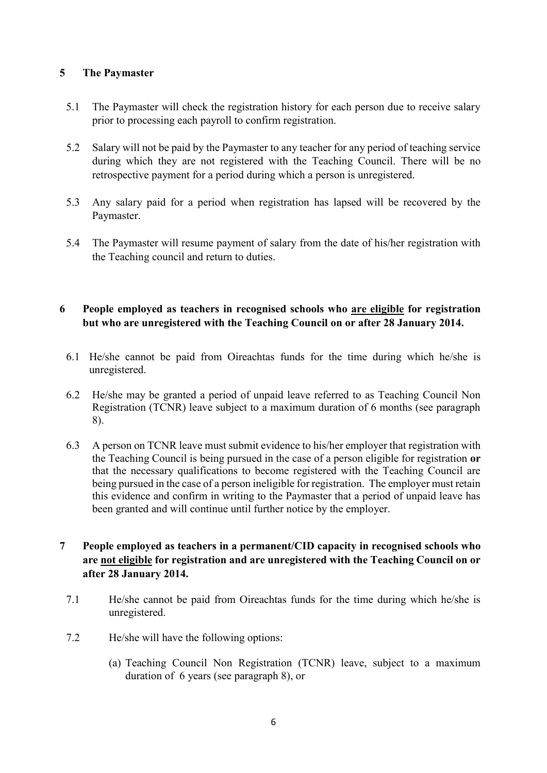#### <span id="page-5-0"></span>**5 The Paymaster**

- 5.1 The Paymaster will check the registration history for each person due to receive salary prior to processing each payroll to confirm registration.
- 5.2 Salary will not be paid by the Paymaster to any teacher for any period of teaching service during which they are not registered with the Teaching Council. There will be no retrospective payment for a period during which a person is unregistered.
- 5.3 Any salary paid for a period when registration has lapsed will be recovered by the Paymaster.
- 5.4 The Paymaster will resume payment of salary from the date of his/her registration with the Teaching council and return to duties.

#### <span id="page-5-1"></span>**6 People employed as teachers in recognised schools who are eligible for registration but who are unregistered with the Teaching Council on or after 28 January 2014.**

- 6.1 He/she cannot be paid from Oireachtas funds for the time during which he/she is unregistered.
- 6.2 He/she may be granted a period of unpaid leave referred to as Teaching Council Non Registration (TCNR) leave subject to a maximum duration of 6 months (see paragraph 8).
- 6.3 A person on TCNR leave must submit evidence to his/her employer that registration with the Teaching Council is being pursued in the case of a person eligible for registration **or** that the necessary qualifications to become registered with the Teaching Council are being pursued in the case of a person ineligible for registration. The employer must retain this evidence and confirm in writing to the Paymaster that a period of unpaid leave has been granted and will continue until further notice by the employer.

#### <span id="page-5-2"></span>**7 People employed as teachers in a permanent/CID capacity in recognised schools who are not eligible for registration and are unregistered with the Teaching Council on or after 28 January 2014.**

- 7.1 He/she cannot be paid from Oireachtas funds for the time during which he/she is unregistered.
- 7.2 He/she will have the following options:
	- (a) Teaching Council Non Registration (TCNR) leave, subject to a maximum duration of 6 years (see paragraph 8), or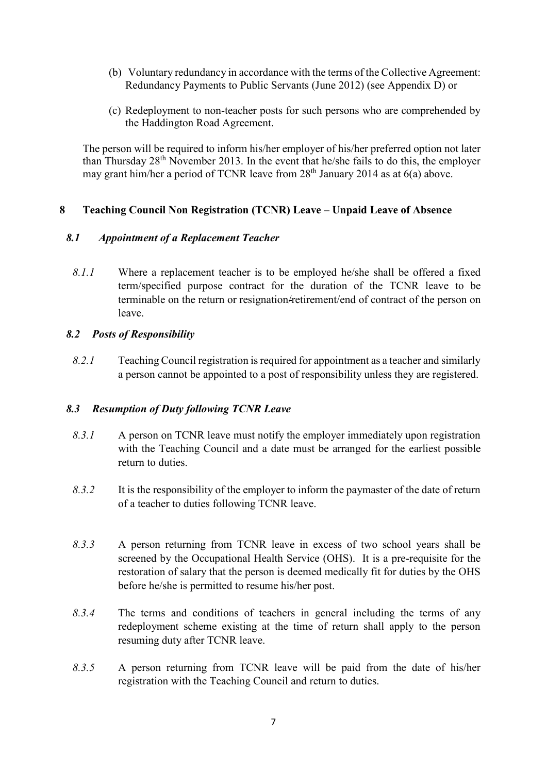- (b) Voluntary redundancy in accordance with the terms of the Collective Agreement: Redundancy Payments to Public Servants (June 2012) (see Appendix D) or
- (c) Redeployment to non-teacher posts for such persons who are comprehended by the Haddington Road Agreement.

The person will be required to inform his/her employer of his/her preferred option not later than Thursday  $28<sup>th</sup>$  November 2013. In the event that he/she fails to do this, the employer may grant him/her a period of TCNR leave from 28<sup>th</sup> January 2014 as at 6(a) above.

#### <span id="page-6-0"></span>**8 Teaching Council Non Registration (TCNR) Leave – Unpaid Leave of Absence**

#### <span id="page-6-1"></span>*8.1 Appointment of a Replacement Teacher*

*8.1.1* Where a replacement teacher is to be employed he/she shall be offered a fixed term/specified purpose contract for the duration of the TCNR leave to be terminable on the return or resignation/retirement/end of contract of the person on leave.

#### <span id="page-6-2"></span>*8.2 Posts of Responsibility*

*8.2.1* Teaching Council registration is required for appointment as a teacher and similarly a person cannot be appointed to a post of responsibility unless they are registered.

#### <span id="page-6-3"></span>*8.3 Resumption of Duty following TCNR Leave*

- *8.3.1* A person on TCNR leave must notify the employer immediately upon registration with the Teaching Council and a date must be arranged for the earliest possible return to duties.
- *8.3.2* It is the responsibility of the employer to inform the paymaster of the date of return of a teacher to duties following TCNR leave.
- *8.3.3* A person returning from TCNR leave in excess of two school years shall be screened by the Occupational Health Service (OHS). It is a pre-requisite for the restoration of salary that the person is deemed medically fit for duties by the OHS before he/she is permitted to resume his/her post.
- *8.3.4* The terms and conditions of teachers in general including the terms of any redeployment scheme existing at the time of return shall apply to the person resuming duty after TCNR leave.
- *8.3.5* A person returning from TCNR leave will be paid from the date of his/her registration with the Teaching Council and return to duties.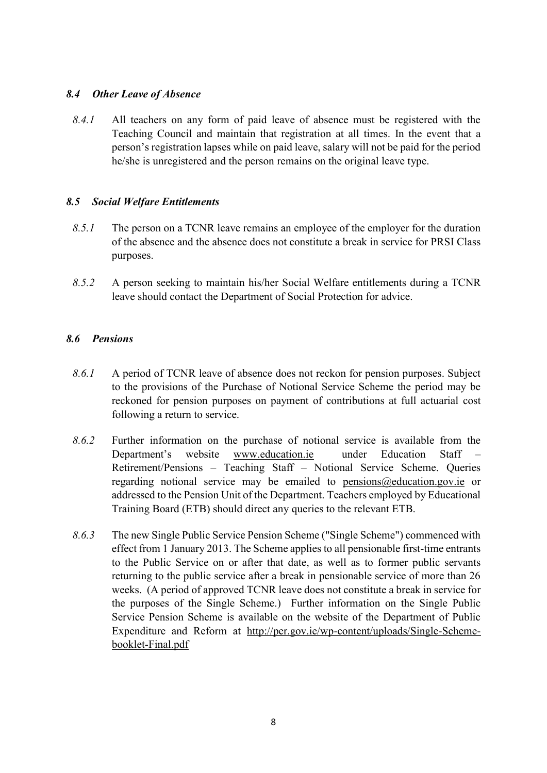#### <span id="page-7-0"></span>*8.4 Other Leave of Absence*

*8.4.1* All teachers on any form of paid leave of absence must be registered with the Teaching Council and maintain that registration at all times. In the event that a person's registration lapses while on paid leave, salary will not be paid for the period he/she is unregistered and the person remains on the original leave type.

#### <span id="page-7-1"></span>*8.5 Social Welfare Entitlements*

- *8.5.1* The person on a TCNR leave remains an employee of the employer for the duration of the absence and the absence does not constitute a break in service for PRSI Class purposes.
- *8.5.2* A person seeking to maintain his/her Social Welfare entitlements during a TCNR leave should contact the Department of Social Protection for advice.

#### <span id="page-7-2"></span>*8.6 Pensions*

- *8.6.1* A period of TCNR leave of absence does not reckon for pension purposes. Subject to the provisions of the Purchase of Notional Service Scheme the period may be reckoned for pension purposes on payment of contributions at full actuarial cost following a return to service.
- *8.6.2* Further information on the purchase of notional service is available from the Department's website [www.education.ie](http://www.education.ie/) under Education Staff – Retirement/Pensions – Teaching Staff – Notional Service Scheme. Queries regarding notional service may be emailed to [pensions@education.gov.ie](mailto:pensions@education.gov.ie) or addressed to the Pension Unit of the Department. Teachers employed by Educational Training Board (ETB) should direct any queries to the relevant ETB.
- *8.6.3* The new Single Public Service Pension Scheme ("Single Scheme") commenced with effect from 1 January 2013. The Scheme applies to all pensionable first-time entrants to the Public Service on or after that date, as well as to former public servants returning to the public service after a break in pensionable service of more than 26 weeks. (A period of approved TCNR leave does not constitute a break in service for the purposes of the Single Scheme.) Further information on the Single Public Service Pension Scheme is available on the website of the Department of Public Expenditure and Reform at [http://per.gov.ie/wp-content/uploads/Single-Scheme](http://per.gov.ie/wp-content/uploads/Single-Scheme-booklet-Final.pdf)[booklet-Final.pdf](http://per.gov.ie/wp-content/uploads/Single-Scheme-booklet-Final.pdf)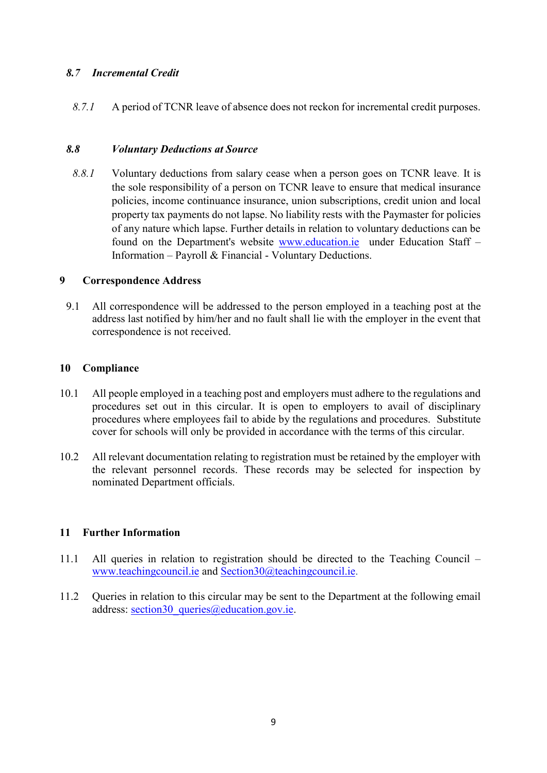#### <span id="page-8-0"></span>*8.7 Incremental Credit*

*8.7.1* A period of TCNR leave of absence does not reckon for incremental credit purposes.

#### <span id="page-8-1"></span>*8.8 Voluntary Deductions at Source*

*8.8.1* Voluntary deductions from salary cease when a person goes on TCNR leave. It is the sole responsibility of a person on TCNR leave to ensure that medical insurance policies, income continuance insurance, union subscriptions, credit union and local property tax payments do not lapse. No liability rests with the Paymaster for policies of any nature which lapse. Further details in relation to voluntary deductions can be found on the Department's website [www.education.ie](http://www.education.ie/) under Education Staff – Information – Payroll & Financial - Voluntary Deductions.

#### <span id="page-8-2"></span>**9 Correspondence Address**

9.1 All correspondence will be addressed to the person employed in a teaching post at the address last notified by him/her and no fault shall lie with the employer in the event that correspondence is not received.

#### <span id="page-8-3"></span>**10 Compliance**

- 10.1 All people employed in a teaching post and employers must adhere to the regulations and procedures set out in this circular. It is open to employers to avail of disciplinary procedures where employees fail to abide by the regulations and procedures. Substitute cover for schools will only be provided in accordance with the terms of this circular.
- 10.2 All relevant documentation relating to registration must be retained by the employer with the relevant personnel records. These records may be selected for inspection by nominated Department officials.

#### <span id="page-8-4"></span>**11 Further Information**

- 11.1 All queries in relation to registration should be directed to the Teaching Council [www.teachingcouncil.ie](http://www.teachingcouncil.ie/) and [Section30@teachingcouncil.ie.](mailto:Section30@teachingcouncil.ie)
- 11.2 Queries in relation to this circular may be sent to the Department at the following email address: section30 queries@education.gov.ie.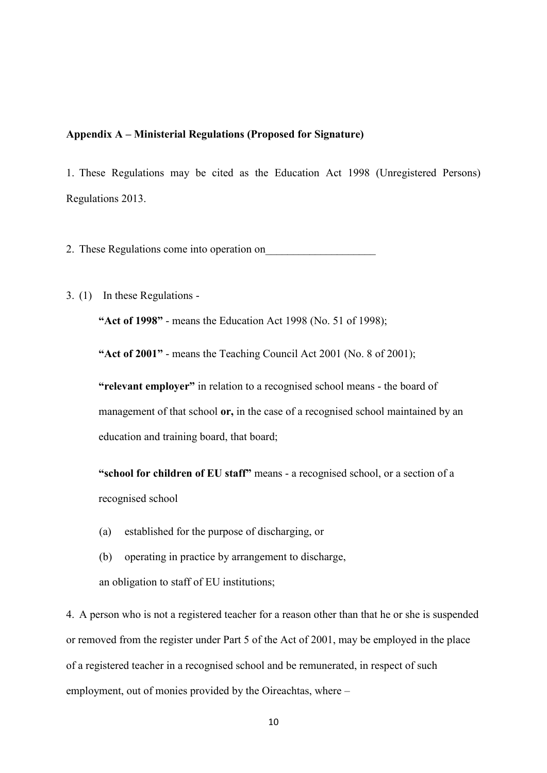#### <span id="page-9-0"></span>**Appendix A – Ministerial Regulations (Proposed for Signature)**

1. These Regulations may be cited as the Education Act 1998 (Unregistered Persons) Regulations 2013.

2. These Regulations come into operation on

3. (1) In these Regulations -

**"Act of 1998"** - means the Education Act 1998 (No. 51 of 1998);

**"Act of 2001"** - means the Teaching Council Act 2001 (No. 8 of 2001);

**"relevant employer"** in relation to a recognised school means - the board of management of that school **or,** in the case of a recognised school maintained by an education and training board, that board;

**"school for children of EU staff"** means - a recognised school, or a section of a recognised school

- (a) established for the purpose of discharging, or
- (b) operating in practice by arrangement to discharge, an obligation to staff of EU institutions;

4. A person who is not a registered teacher for a reason other than that he or she is suspended or removed from the register under Part 5 of the Act of 2001, may be employed in the place of a registered teacher in a recognised school and be remunerated, in respect of such employment, out of monies provided by the Oireachtas, where –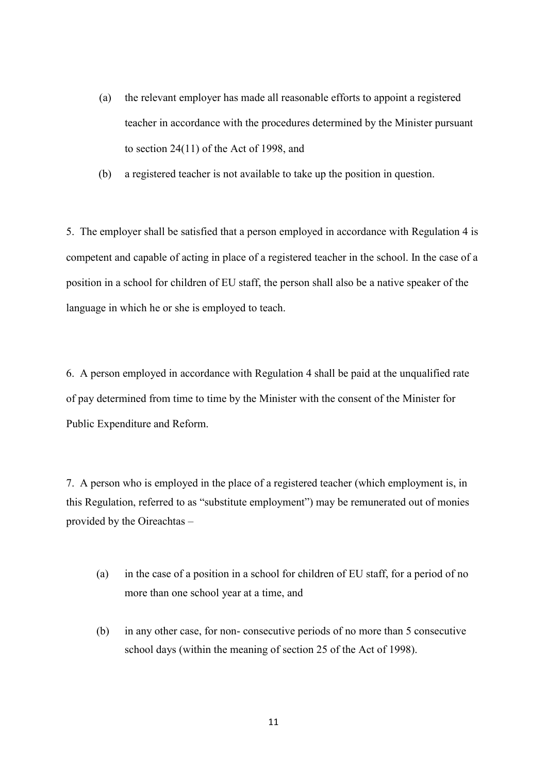- (a) the relevant employer has made all reasonable efforts to appoint a registered teacher in accordance with the procedures determined by the Minister pursuant to section 24(11) of the Act of 1998, and
- (b) a registered teacher is not available to take up the position in question.

5. The employer shall be satisfied that a person employed in accordance with Regulation 4 is competent and capable of acting in place of a registered teacher in the school. In the case of a position in a school for children of EU staff, the person shall also be a native speaker of the language in which he or she is employed to teach.

6. A person employed in accordance with Regulation 4 shall be paid at the unqualified rate of pay determined from time to time by the Minister with the consent of the Minister for Public Expenditure and Reform.

7. A person who is employed in the place of a registered teacher (which employment is, in this Regulation, referred to as "substitute employment") may be remunerated out of monies provided by the Oireachtas –

- (a) in the case of a position in a school for children of EU staff, for a period of no more than one school year at a time, and
- (b) in any other case, for non- consecutive periods of no more than 5 consecutive school days (within the meaning of section 25 of the Act of 1998).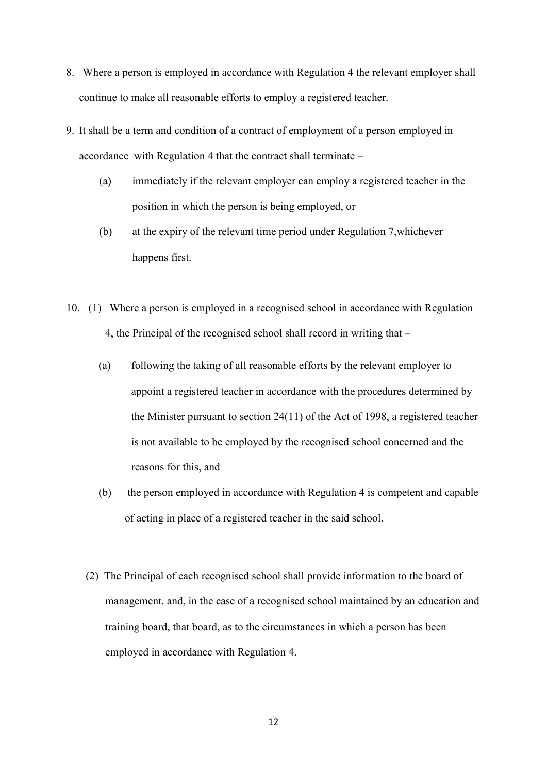- 8. Where a person is employed in accordance with Regulation 4 the relevant employer shall continue to make all reasonable efforts to employ a registered teacher.
- 9. It shall be a term and condition of a contract of employment of a person employed in accordance with Regulation 4 that the contract shall terminate –
	- (a) immediately if the relevant employer can employ a registered teacher in the position in which the person is being employed, or
	- (b) at the expiry of the relevant time period under Regulation 7,whichever happens first.
- 10. (1) Where a person is employed in a recognised school in accordance with Regulation 4, the Principal of the recognised school shall record in writing that –
	- (a) following the taking of all reasonable efforts by the relevant employer to appoint a registered teacher in accordance with the procedures determined by the Minister pursuant to section 24(11) of the Act of 1998, a registered teacher is not available to be employed by the recognised school concerned and the reasons for this, and
	- (b) the person employed in accordance with Regulation 4 is competent and capable of acting in place of a registered teacher in the said school.
	- (2) The Principal of each recognised school shall provide information to the board of management, and, in the case of a recognised school maintained by an education and training board, that board, as to the circumstances in which a person has been employed in accordance with Regulation 4.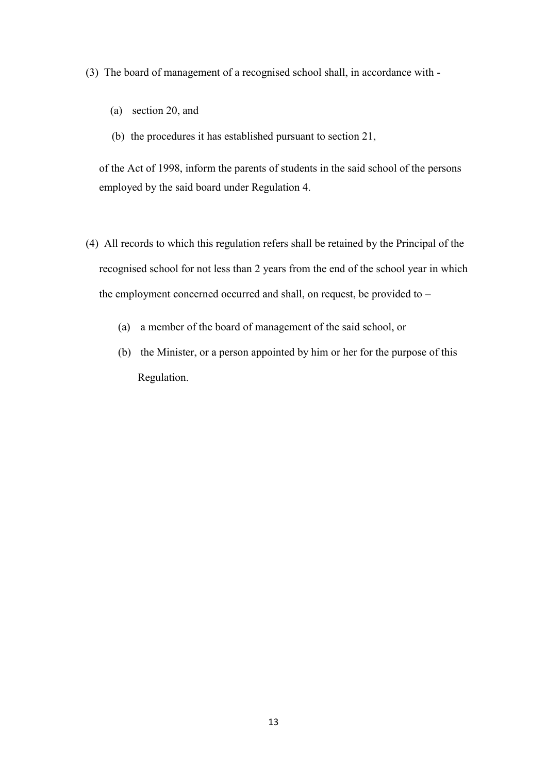(3) The board of management of a recognised school shall, in accordance with -

- (a) section 20, and
- (b) the procedures it has established pursuant to section 21,

of the Act of 1998, inform the parents of students in the said school of the persons employed by the said board under Regulation 4.

- (4) All records to which this regulation refers shall be retained by the Principal of the recognised school for not less than 2 years from the end of the school year in which the employment concerned occurred and shall, on request, be provided to –
	- (a) a member of the board of management of the said school, or
	- (b) the Minister, or a person appointed by him or her for the purpose of this Regulation.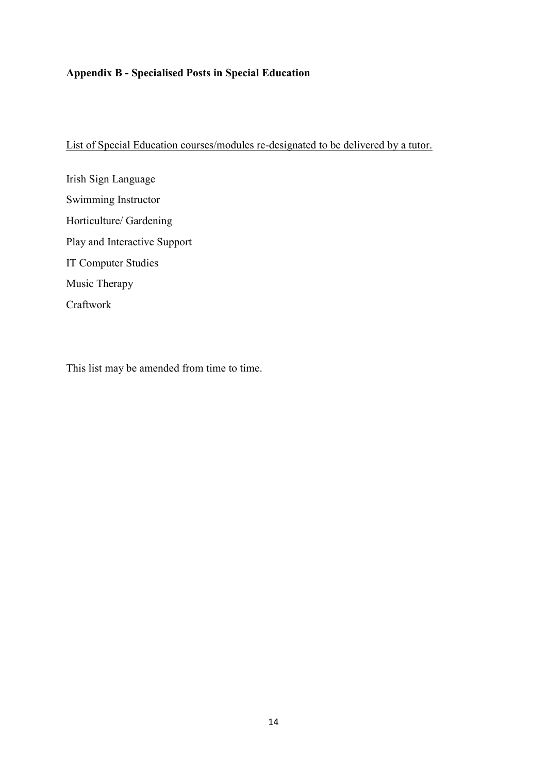# <span id="page-13-0"></span>**Appendix B - Specialised Posts in Special Education**

List of Special Education courses/modules re-designated to be delivered by a tutor.

Irish Sign Language Swimming Instructor Horticulture/ Gardening Play and Interactive Support IT Computer Studies Music Therapy Craftwork

This list may be amended from time to time.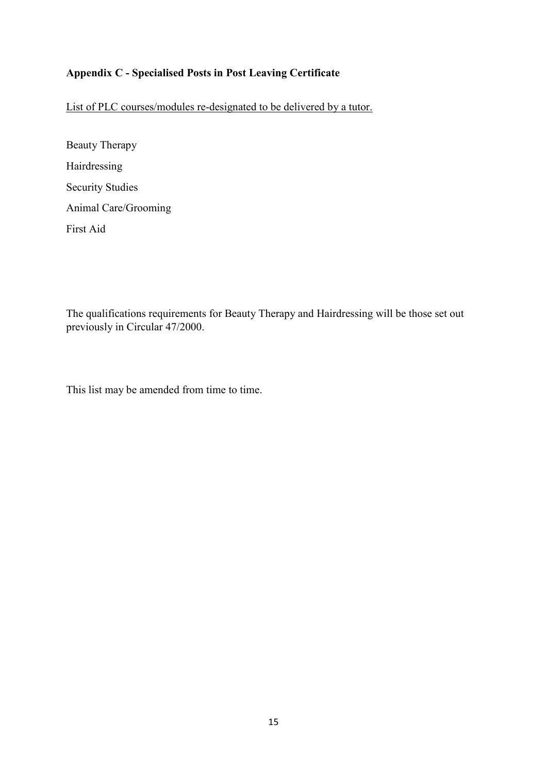### <span id="page-14-0"></span>**Appendix C - Specialised Posts in Post Leaving Certificate**

List of PLC courses/modules re-designated to be delivered by a tutor.

Beauty Therapy Hairdressing Security Studies Animal Care/Grooming First Aid

The qualifications requirements for Beauty Therapy and Hairdressing will be those set out previously in Circular 47/2000.

This list may be amended from time to time.